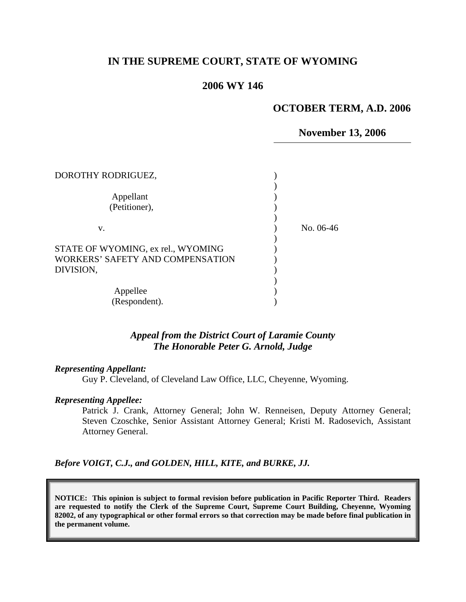# **IN THE SUPREME COURT, STATE OF WYOMING**

# **2006 WY 146**

## **OCTOBER TERM, A.D. 2006**

**November 13, 2006**

| DOROTHY RODRIGUEZ,                                                                  |           |
|-------------------------------------------------------------------------------------|-----------|
| Appellant<br>(Petitioner),                                                          |           |
| v.                                                                                  | No. 06-46 |
| STATE OF WYOMING, ex rel., WYOMING<br>WORKERS' SAFETY AND COMPENSATION<br>DIVISION, |           |
| Appellee<br>(Respondent).                                                           |           |

## *Appeal from the District Court of Laramie County The Honorable Peter G. Arnold, Judge*

### *Representing Appellant:*

Guy P. Cleveland, of Cleveland Law Office, LLC, Cheyenne, Wyoming.

#### *Representing Appellee:*

Patrick J. Crank, Attorney General; John W. Renneisen, Deputy Attorney General; Steven Czoschke, Senior Assistant Attorney General; Kristi M. Radosevich, Assistant Attorney General.

*Before VOIGT, C.J., and GOLDEN, HILL, KITE, and BURKE, JJ.* 

**NOTICE: This opinion is subject to formal revision before publication in Pacific Reporter Third. Readers are requested to notify the Clerk of the Supreme Court, Supreme Court Building, Cheyenne, Wyoming 82002, of any typographical or other formal errors so that correction may be made before final publication in the permanent volume.**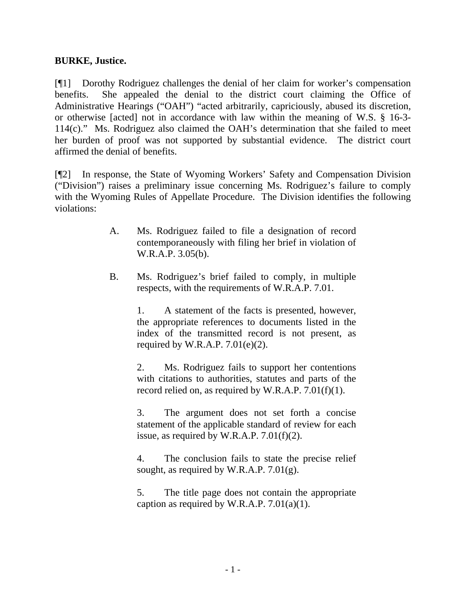# **BURKE, Justice.**

[¶1] Dorothy Rodriguez challenges the denial of her claim for worker's compensation benefits. She appealed the denial to the district court claiming the Office of Administrative Hearings ("OAH") "acted arbitrarily, capriciously, abused its discretion, or otherwise [acted] not in accordance with law within the meaning of W.S. § 16-3- 114(c)." Ms. Rodriguez also claimed the OAH's determination that she failed to meet her burden of proof was not supported by substantial evidence. The district court affirmed the denial of benefits.

[¶2] In response, the State of Wyoming Workers' Safety and Compensation Division ("Division") raises a preliminary issue concerning Ms. Rodriguez's failure to comply with the Wyoming Rules of Appellate Procedure. The Division identifies the following violations:

- A. Ms. Rodriguez failed to file a designation of record contemporaneously with filing her brief in violation of W.R.A.P. 3.05(b).
- B. Ms. Rodriguez's brief failed to comply, in multiple respects, with the requirements of W.R.A.P. 7.01.

1. A statement of the facts is presented, however, the appropriate references to documents listed in the index of the transmitted record is not present, as required by W.R.A.P.  $7.01(e)(2)$ .

2. Ms. Rodriguez fails to support her contentions with citations to authorities, statutes and parts of the record relied on, as required by W.R.A.P. 7.01(f)(1).

3. The argument does not set forth a concise statement of the applicable standard of review for each issue, as required by W.R.A.P. 7.01(f)(2).

4. The conclusion fails to state the precise relief sought, as required by W.R.A.P. 7.01(g).

5. The title page does not contain the appropriate caption as required by W.R.A.P.  $7.01(a)(1)$ .